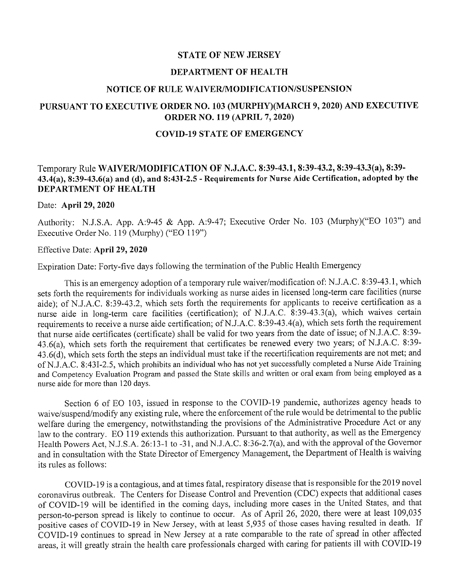### STATE OF NEW JERSEY

### DEPARTMENT OF HEALTH

### NOTICE OF RULE WAIVERIMODIFICATION/SUSPENSION

# PURSUANT TO EXECUTIVE ORDER NO. 103 (MURPHY)(MARCH 9, 2020) AND EXECUTIVE ORDER NO. 119 (APRIL 7, 2020)

### COVID-19 STATE OF EMERGENCY

## Temporary Rule WAIVER/MODIFICATION OF N.J.A.C. 8:39-43.1, 8:39-43.2, 8:39-43.3(a), 8:39- 43.4(a), 8:39-43.6(a) and (d), and 8:431-2.5 - Requirements for Nurse Aide Certification, adopted by the DEPARTMENT OF HEALTH

### Date: April 29, 2020

Authority: N.J.S.A. App. A:9-45 & App. A:9-47; Executive Order No. 103 (Murphy)("EO 103") and Executive Order No. 119 (Murphy) ("EO 119")

## Effective Date: April 29, 2020

Expiration Date: Forty-five days following the termination of the Public Health Emergency

This is an emergency adoption of a temporary rule waiver/modification of: N.J.A.C. 8:39-43.1, which sets forth the requirements for individuals working as nurse aides in licensed long-term care facilities (nurse aide); of N.J.A.C. 8:39-43.2, which sets forth the requirements for applicants to receive certification as a nurse aide in long-term care facilities (certification); of N.J.A.C. 8:39-43.3(a), which waives certain requirements to receive a nurse aide certification; of N.J.A.C. 8:39-43.4(a), which sets forth the requirement that nurse aide certificates (certificate) shall be valid for two years from the date of issue; of N.J.A.C. 8:39-43.6(a), which sets forth the requirement that certificates be renewed every two years; of N.J.A.C. 8:39- 43.6(d), which sets forth the steps an individual must take if the recertification requirements are not met; and of N.J.A.C. 8:43I-2.5, which prohibits an individual who has not yet successfully completed a Nurse Aide Training and Competency Evaluation Program and passed the State skills and written or oral exam from being employed as a nurse aide for more than 120 days.

Section 6 of EO 103, issued in response to the COVID-19 pandemic, authorizes agency heads to waive/suspend/modify any existing rule, where the enforcement of the rule would be detrimental to the public welfare during the emergency, notwithstanding the provisions of the Administrative Procedure Act or any law to the contrary. EO 119 extends this authorization. Pursuant to that authority, as well as the Emergency Health Powers Act, N.J.S.A. 26:13-1 to -31, and N.J.A.C. 8:36-2.7(a), and with the approval of the Governor and in consultation with the State Director of Emergency Management, the Department of Health is waiving its rules as follows:

COVID-19 is a contagious, and at times fatal, respiratory disease that is responsible for the 2019 novel coronavirus outbreak. The Centers for Disease Control and Prevention (CDC) expects that additional cases of COVID-19 will be identified in the coming days, including more cases in the United States, and that person-to-person spread is likely to continue to occur. As of April 26, 2020, there were at least 109,035 positive cases of COVID-19 in New Jersey, with at least 5,935 of those cases having resulted in death. If COVID-19 continues to spread in New Jersey at a rate comparable to the rate of spread in other affected areas, it will greatly strain the health care professionals charged with caring for patients ill with COVID-19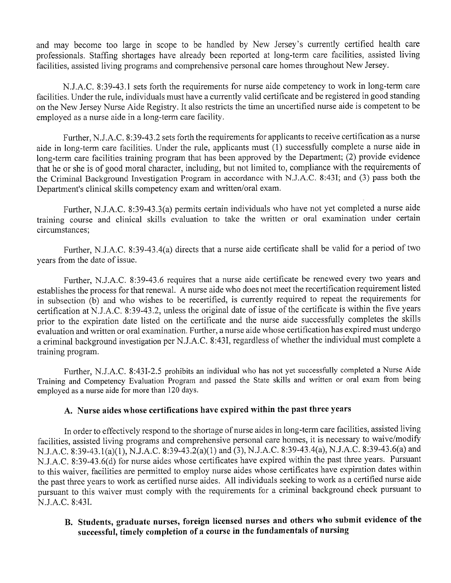and may become too large in scope to be handled by New Jersey's currently certified health care professionals. Staffing shortages have already been reported at long-term care facilities, assisted living facilities, assisted living programs and comprehensive personal care homes throughout New Jersey.

NJ.A.C. 8:39-43.1 sets forth the requirements for nurse aide competency to work in long-term care facilities. Under the rule, individuals must have a currently valid certificate and be registered in good standing on the New Jersey Nurse Aide Registry. It also restricts the time an uncertified nurse aide is competent to be employed as a nurse aide in a long-term care facility.

Further, N.J.A.C. 8:39-43.2 sets forth the requirements for applicants to receive certification as a nurse aide in long-term care facilities. Under the rule, applicants must (1) successfully complete a nurse aide in long-term care facilities training program that has been approved by the Department; (2) provide evidence that he or she is of good moral character, including, but not limited to, compliance with the requirements of the Criminal Background Investigation Program in accordance with N.J.A.C. 8:43I; and (3) pass both the Department's clinical skills competency exam and written/oral exam.

Further, N.lA.C. 8:39-43.3(a) permits certain individuals who have not yet completed a nurse aide training course and clinical skills evaluation to take the written or oral examination under certain circumstances;

Further, N.J.A.C. 8:39-43.4(a) directs that a nurse aide certificate shall be valid for a period of two years from the date of issue.

Further, N.lA.C. 8:39-43.6 requires that a nurse aide certificate be renewed every two years and establishes the process for that renewal. A nurse aide who does not meet the recertification requirement listed in subsection (b) and who wishes to be recertified, is currently required to repeat the requirements for certification at N.J.A.C. 8:39-43.2, unless the original date of issue of the certificate is within the five years prior to the expiration date listed on the certificate and the nurse aide successfully completes the skills evaluation and written or oral examination. Further, a nurse aide whose certification has expired must undergo a criminal background investigation per N.J.A.C. 8:43I, regardless of whether the individual must complete a training program.

Further, N.J.A.C. 8:431-2.5 prohibits an individual who has not yet successfully completed a Nurse Aide Training and Competency Evaluation Program and passed the State skills and written or oral exam from being employed as a nurse aide for more than 120 days.

## A. Nurse aides whose certifications have expired within the past three years

In order to effectively respond to the shortage of nurse aides in long-term care facilities, assisted living facilities, assisted living programs and comprehensive personal care homes, it is necessary to waive/modify N.J.A.C. 8:39-43.1(a)(1), N.J.A.C. 8:39-43.2(a)(1) and (3), N..T.A.C. 8:39-43.4(a), N..T.A.C. 8:39-43.6(a) and N.J.A.C. 8:39-43.6(d) for nurse aides whose certificates have expired within the past three years. Pursuant to this waiver, facilities are permitted to employ nurse aides whose certificates have expiration dates within the past three years to work as certified nurse aides. All individuals seeking to work as a certified nurse aide pursuant to this waiver must comply with the requirements for a criminal background check pursuant to N.J.A.C. 8:43I.

# B. Students, graduate nurses, foreign licensed nurses and others who submit evidence of the successful, timely completion of a course in the fundamentals of nursing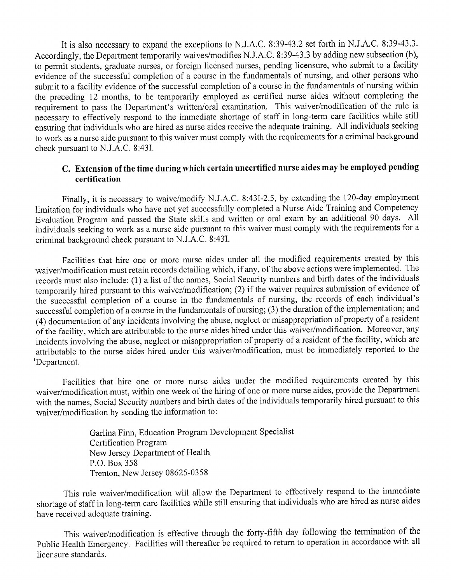It is also necessary to expand the exceptions to N.J.A.C. 8:39-43.2 set forth in N.J.A.C. 8:39-43.3. Accordingly, the Department temporarily waives/modifies N.J.A.C. 8:39-43.3 by adding new subsection (b), to permit students, graduate nurses, or foreign licensed nurses, pending licensure, who submit to a facility evidence of the successful completion of a course in the fundamentals of nursing, and other persons who submit to a facility evidence of the successful completion of a course in the fundamentals of nursing within the preceding 12 months, to be temporarily employed as certified nurse aides without completing the requirement to pass the Department's written/oral examination. This waiver/modification of the rule is necessary to effectively respond to the immediate shortage of staff in long-term care facilities while still ensuring that individuals who are hired as nurse aides receive the adequate training. All individuals seeking to work as a nurse aide pursuant to this waiver must comply with the requirements for a criminal background check pursuant to NJ.A.C. 8:43I.

# C. **Extension** of the **time during which certain uncertified nurse aides may be employed pending certification**

Finally, it is necessary to waive/modify N.J.A.C. 8:43I-2.5, by extending the 120-day employment limitation for individuals who have not yet successfully completed a Nurse Aide Training and Competency Evaluation Program and passed the State skills and written or oral exam by an additional 90 days. All individuals seeking to work as a nurse aide pursuant to this waiver must comply with the requirements for a criminal background check pursuant to N.lA.C. 8:43I.

Facilities that hire one or more nurse aides under all the modified requirements created by this waiver/modification must retain records detailing which, if any, of the above actions were implemented. The records must also include: (1) a list of the names, Social Security numbers and birth dates of the individuals temporarily hired pursuant to this waiver/modification; (2) if the waiver requires submission of evidence of the successful completion of a course in the fundamentals of nursing, the records of each individual's successful completion of a course in the fundamentals of nursing; (3) the duration of the implementation; and (4) documentation of any incidents involving the abuse, neglect or misappropriation of property of a resident of the facility, which are attributable to the nurse aides hired under this waiver/modification. Moreover, any incidents involving the abuse, neglect or misappropriation of property of a resident of the facility, which are attributable to the nurse aides hired under this waiver/modification, must be immediately reported to the 'Department.

Facilities that hire one or more nurse aides under the modified requirements created by this waiver/modification must, within one week of the hiring of one or more nurse aides, provide the Department with the names, Social Security numbers and birth dates of the individuals temporarily hired pursuant to this waiver/modification by sending the information to:

> Garlina Finn, Education Program Development Specialist Certification Program New Jersey Department of Health P.O. Box 358 Trenton, New Jersey 08625-0358

This rule waiver/modification will allow the Department to effectively respond to the immediate shortage of staff in long-term care facilities while still ensuring that individuals who are hired as nurse aides have received adequate training.

This waiver/modification is effective through the forty-fifth day following the termination of the Public Health Emergency. Facilities will thereafter be required to return to operation in accordance with all licensure standards.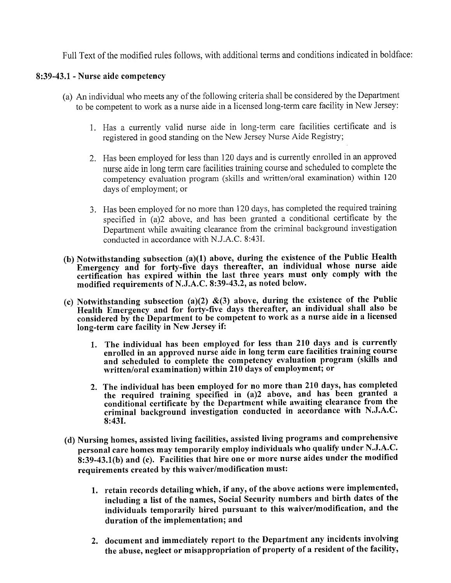Full Text of the modified rules follows, with additional terms and conditions indicated in boldface:

## 8:39-43.1 - Nurse aide competency

- (a) An individual who meets any of the following criteria shall be considered by the Department to be competent to work as a nurse aide in a licensed long-term care facility in New Jersey:
	- 1. Has a currently valid nurse aide in long-term care facilities certificate and is registered in good standing on the New Jersey Nurse Aide Registry;
	- 2. Has been employed for less than 120 days and is currently enrolled in an approved nurse aide in long term care facilities training course and scheduled to complete the competency evaluation program (skills and written/oral examination) within 120 days of employment; or
	- 3. Has been employed for no more than 120 days, has completed the required training specified in (a)2 above, and has been granted a conditional certificate by the Department while awaiting clearance from the criminal background investigation conducted in accordance with N.J.A.C. 8:43I.
- (b) Notwithstanding subsection (a)(1) above, during the existence of the Public Health Emergency and for forty-five days thereafter, an individual whose nurse aide certification has expired within the last three years must only comply with the modified requirements of N.J.A.C. 8:39-43.2, as noted below.
- (c) Notwithstanding subsection (a)(2)  $\&(3)$  above, during the existence of the Public Health Emergency and for forty-five days thereafter, an individual shall also be considered by the Department to be competent to work as a nurse aide in a licensed long-term care facility in New Jersey if:
	- 1. The individual has been employed for less than 210 days and is currently enrolled in an approved nurse aide in long term care facilities training course and scheduled to complete the competency evaluation program (skills and written/oral examination) within 210 days of employment; or
	- 2. The individual has been employed for no more than 210 days, has completed the required training specified in (a)2 above, and has been granted a conditional certificate by the Department while awaiting clearance from the criminal background investigation conducted in accordance with N.J.A.C. 8:431.
- (d) Nursing homes, assisted living facilities, assisted living programs and comprehensive personal care homes may temporarily employ individuals who qualify under N.J.A.C. 8:39-43.1(b) and (c). Facilities that hire one or more nurse aides under the modified requirements created by this waiver/modification must:
	- 1. retain records detailing which, if any, of the above actions were implemented, including a list of the names, Social Security numbers and birth dates of the individuals temporarily hired pursuant to this waiver/modification, and the duration of the implementation; and
	- 2. document and immediately report to the Department any incidents involving the abuse, neglect or misappropriation of property of a resident of the facility,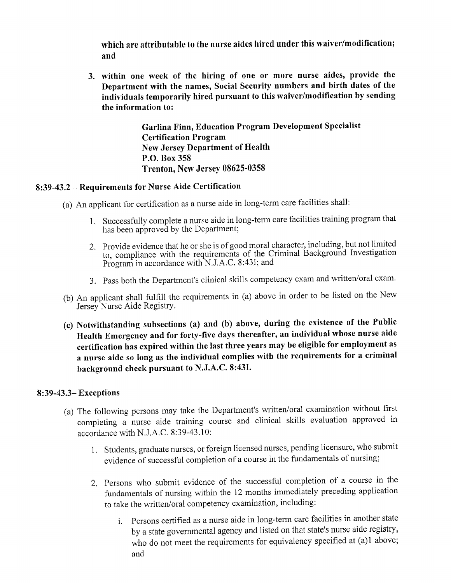which are attributable to the nurse aides hired under this waiver/modification; and

3. within one week of the hiring of one or more nurse aides, provide the Department with the names, Social Security numbers and birth dates of the individuals temporarily hired pursuant to this waiver/modification by sending the information to:

> Garlina Finn, Education Program Development Specialist Certification Program New Jersey Department of Health P.O. Box 358 Trenton, New Jersey 08625-0358

# 8:39-43.2 - Requirements for Nurse Aide Certification

- (a) An applicant for certification as a nurse aide in long-term care facilities shall:
	- 1. Successfully complete a nurse aide in long-term care facilities training program that has been approved by the Department;
	- 2. Provide evidence that he or she is of good moral character, including, but not limited to, compliance with the requirements of the Criminal Background Investigation Program in accordance with N.J.A.C. 8:431; and
	- 3. Pass both the Department's clinical skills competency exam and written/oral exam.
- (b) An applicant shall fulfill the requirements in (a) above in order to be listed on the New Jersey Nurse Aide Registry.
- (c) Notwithstanding subsections (a) and (b) above, during the existence of the Public Health Emergency and for forty-five days thereafter, an individual whose nurse aide certification has expired within the last three years may be eligible for employment as a nurse aide so long as the individual complies with the requirements for a criminal background check pursuant to N.J.A.C. 8:431.

### 8:39-43.3- Exceptions

- (a) The following persons may take the Department's written/oral examination without first completing a nurse aide training course and clinical skills evaluation approved in accordance with N.J.A.C. 8:39-43.10:
	- 1. Students, graduate nurses, or foreign licensed nurses, pending licensure, who submit evidence of successful completion of a course in the fundamentals of nursing;
	- 2. Persons who submit evidence of the successful completion of a course in the fundamentals of nursing within the 12 months immediately preceding application to take the written/oral competency examination, including:
		- 1. Persons certified as a nurse aide in long-term care facilities in another state by a state governmental agency and listed on that state's nurse aide registry, who do not meet the requirements for equivalency specified at (a)l above; and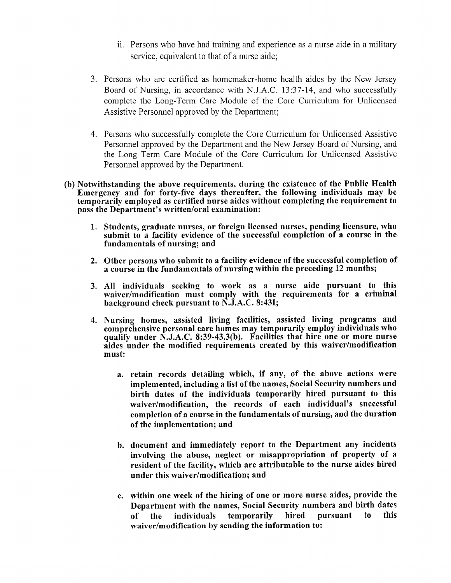- ii. Persons who have had training and experience as a nurse aide in a military service, equivalent to that of a nurse aide;
- 3. Persons who are certified as homemaker-home health aides by the New Jersey Board of Nursing, in accordance with N.J.A.C. 13:37-14, and who successfully complete the Long-Term Care Module of the Core Curriculum for Unlicensed Assistive Personnel approved by the Department;
- 4. Persons who successfully complete the Core Curriculum for Unlicensed Assistive Personnel approved by the Department and the New Jersey Board of Nursing, and the Long Term Care Module of the Core Curriculum for Unlicensed Assistive Personnel approved by the Department.
- (b) Notwithstanding the above requirements, during the existence of the Public Health Emergency and for forty-five days thereafter, the following individuals may be temporarily employed as certified nurse aides without completing the requirement to pass the Department's written/oral examination:
	- 1. Students, graduate nurses, or foreign licensed nurses, pending licensure, who submit to a facility evidence of the successful completion of a course in the fundamentals of nursing; and
	- 2. Other persons who submit to a facility evidence of the successful completion of a course in the fundamentals of nursing within the preceding 12 months;
	- 3. All individuals seeking to work as a nurse aide pursuant to this waiver/modification must comply with the requirements for a criminal background check pursuant to N.J.A.C. 8:431;
	- 4. Nursing homes, assisted living facilities, assisted living programs and comprehensive personal care homes may temporarily employ individuals who qualify under N.J.A.C. 8:39-43.3(b). Facilities that hire one or more nurse aides under the modified requirements created by this waiver/modification must:
		- a. retain records detailing which, if any, of the above actions were implemented, including a list of the names, Social Security numbers and birth dates of the individuals temporarily hired pursuant to this waiver/modification, the records of each individual's successful completion ofa course in the fundamentals of nursing, and the duration of the implementation; and
		- b. document and immediately report to the Department any incidents involving the abuse, neglect or misappropriation of property of a resident of the facility, which are attributable to the nurse aides hired under this waiver/modification; and
		- c. within one week of the hiring of one or more nurse aides, provide the Department with the names, Social Security numbers and birth dates of the individuals temporarily hired pursuant to this waiver/modification by sending the information to: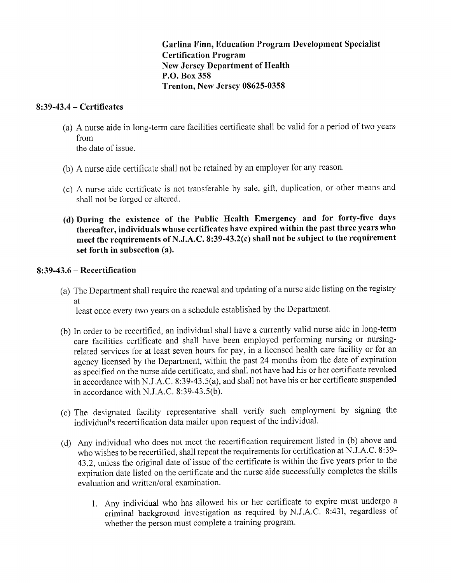**Garlina Finn, Education Program Development Specialist Certification Program New Jersey Department of Health P.O. Box 358 Trenton, New Jersey 08625-0358**

## **8:39-43.4 - Certificates**

(a) A nurse aide in long-term care facilities certificate shall be valid for a period of two years from

the date of issue.

- (b) A nurse aide certificate shall not be retained by an employer for any reason.
- (c) A nurse aide certificate is not transferable by sale, gift, duplication, or other means and shall not be forged or altered.
- **(d) During the existence of the Public Health Emergency and for forty-five days thereafter, individuals whose certificates have expired within the past three years who meet the requirements ofN.J.A.C. 8:39-43.2(c) shall not be subject to the requirement set forth in subsection (a).**

### **8:39-43.6 - Recertification**

(a) The Department shall require the renewal and updating of a nurse aide listing on the registry at

least once every two years on a schedule established by the Department.

- (b) In order to be recertified, an individual shall have a currently valid nurse aide in long-term care facilities certificate and shall have been employed performing nursing or nursingrelated services for at least seven hours for pay, in a licensed health care facility or for an agency licensed by the Department, within the past 24 months from the date of expiration as specified on the nurse aide certificate, and shall not have had his or her certificate revoked in accordance with NJ.A.C. 8:39-43.5(a), and shall not have his or her certificate suspended in accordance with NJ.A.C. 8:39-43.5(b).
- (c) The designated facility representative shall verify such employment by signing the individual's recertification data mailer upon request of the individual.
- (d) Any individual who does not meet the recertification requirement listed in (b) above and who wishes to be recertified, shall repeat the requirements for certification at N.J.A.C. 8:39-43.2, unless the original date of issue of the certificate is within the five years prior to the expiration date listed on the certificate and the nurse aide successfully completes the skills evaluation and written/oral examination.
	- 1. Any individual who has allowed his or her certificate to expire must undergo a criminal background investigation as required by NJ.A.C. 8:431, regardless of whether the person must complete a training program.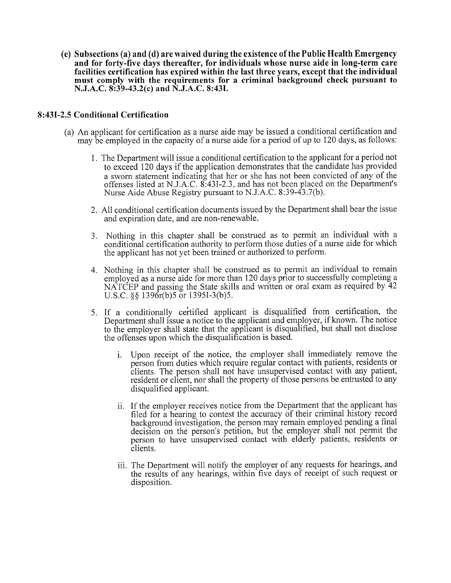**(e) Subsections (a) and (d) are waived during the existence** of the **Public Health Emergency and for forty-five days thereafter, for individuals whose nurse aide in long-term care facilities certification has expired within the last three years, except that the individual must comply with the requirements for a criminal background check pursuant to N.J.A.C. 8:39-43.2(c) and N.J.A.C. 8:431.**

### **8:431-2.5 Conditional Certification**

- (a) An applicant for certification as a nurse aide may be issued a conditional certification and may be employed in the capacity of a nurse aide for a period of up to 120 days, as follows:
	- 1. The Department will issue a conditional certification to the applicant for a period not to exceed 120 days if the application demonstrates that the candidate has provided a sworn statement indicating that her or she has not been convicted of any of the offenses listed at N.J.A.C. 8:431-2.3, and has not been placed on the Department's Nurse Aide Abuse Registry pursuant to N.J.A.C. 8:39-43.7(b).
	- 2. All conditional certification documents issued by the Department shall bear the issue and expiration date, and are non-renewable.
	- 3. Nothing in this chapter shall be construed as to permit an individual with a conditional certification authority to perform those duties of a nurse aide for which the applicant has not yet been trained or authorized to perform.
	- 4. Nothing in this chapter shall be construed as to permit an individual to remain employed as a nurse aide for more than 120 days prior to successfully completing a NATCEP and passing the State skills and written or oral exam as required by 42 U.S.C. §§ 1396r(b)5 or 13951-3(b)5.
	- 5. If a conditionally certified applicant is disqualified from certification, the Department shall issue a notice to the applicant and employer, if known. The notice to the employer shall state that the applicant is disqualified, but shall not disclose the offenses upon which the disqualification is based.
		- 1. Upon receipt of the notice, the employer shall immediately remove the person from duties which require regular contact with patients, residents or clients. The person shall not have unsupervised contact with any patient, resident or client, nor shall the property of those persons be entrusted to any disqualified applicant.
		- ii. If the employer receives notice from the Department that the applicant has filed for a hearing to contest the accuracy of their criminal history record background investigation, the person may remain employed pending a final decision on the person's petition, but the employer shall not permit the person to have unsupervised contact with elderly patients, residents or clients.
		- iii. The Department will notify the employer of any requests for hearings, and the results of any hearings, within five days of receipt of such request or disposition.